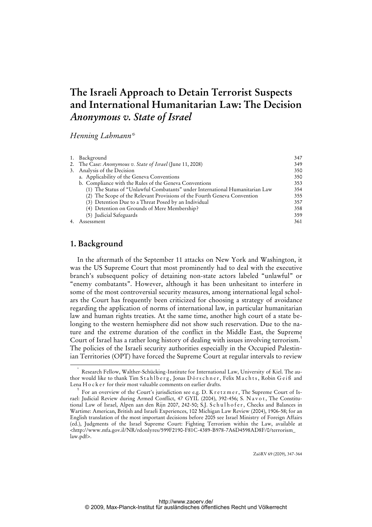# **The Israeli Approach to Detain Terrorist Suspects and International Humanitarian Law: The Decision**  *Anonymous v. State of Israel*

*Henning Lahmann\** 

|    | 1. Background                                                                | 347 |
|----|------------------------------------------------------------------------------|-----|
|    | 2. The Case: <i>Anonymous v. State of Israel</i> (June 11, 2008)             | 349 |
|    | 3. Analysis of the Decision                                                  | 350 |
|    | a. Applicability of the Geneva Conventions                                   | 350 |
|    | b. Compliance with the Rules of the Geneva Conventions                       | 353 |
|    | (1) The Status of "Unlawful Combatants" under International Humanitarian Law | 354 |
|    | (2) The Scope of the Relevant Provisions of the Fourth Geneva Convention     | 355 |
|    | (3) Detention Due to a Threat Posed by an Individual                         | 357 |
|    | (4) Detention on Grounds of Mere Membership?                                 | 358 |
|    | (5) Judicial Safeguards                                                      | 359 |
| 4. | Assessment                                                                   | 361 |

# **1. Background**

In the aftermath of the September 11 attacks on New York and Washington, it was the US Supreme Court that most prominently had to deal with the executive branch's subsequent policy of detaining non-state actors labeled "unlawful" or "enemy combatants". However, although it has been unhesitant to interfere in some of the most controversial security measures, among international legal scholars the Court has frequently been criticized for choosing a strategy of avoidance regarding the application of norms of international law, in particular humanitarian law and human rights treaties. At the same time, another high court of a state belonging to the western hemisphere did not show such reservation. Due to the nature and the extreme duration of the conflict in the Middle East, the Supreme Court of Israel has a rather long history of dealing with issues involving terrorism.<sup>1</sup> The policies of the Israeli security authorities especially in the Occupied Palestinian Territories (OPT) have forced the Supreme Court at regular intervals to review

ZaöRV 69 (2009), 347-364

 <sup>\*</sup> Research Fellow, Walther-Schücking-Institute for International Law, University of Kiel. The author would like to thank Tim Stahlberg, Jonas Dörschner, Felix Machts, Robin Geiß and Lena H o c k e r for their most valuable comments on earlier drafts.

<sup>1</sup> For an overview of the Court's jurisdiction see e.g. D. K r e t z m e r, The Supreme Court of Israel: Judicial Review during Armed Conflict, 47 GYIL (2004), 392-456; S. N a v o t, The Constitutional Law of Israel, Alpen aan den Rijn 2007, 242-50; S.J. Schulhofer, Checks and Balances in Wartime: American, British and Israeli Experiences, 102 Michigan Law Review (2004), 1906-58; for an English translation of the most important decisions before 2005 see Israel Ministry of Foreign Affairs (ed.), Judgments of the Israel Supreme Court: Fighting Terrorism within the Law, available at  $\langle$ http://www.mfa.gov.il/NR/rdonlyres/599F2190-F81C-4389-B978-7A6D4598AD8F/0/terrorism\_ law.pdf>.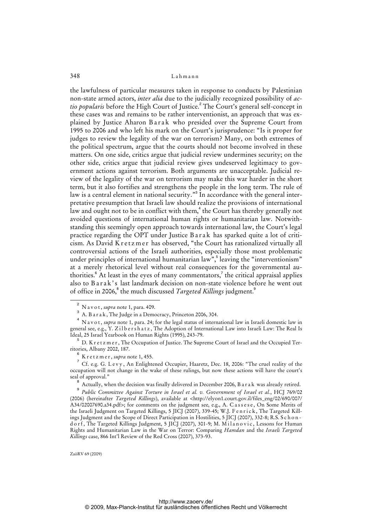the lawfulness of particular measures taken in response to conducts by Palestinian non-state armed actors, *inter alia* due to the judicially recognized possibility of *actio popularis* before the High Court of Justice.<sup>2</sup> The Court's general self-concept in these cases was and remains to be rather interventionist, an approach that was explained by Justice Aharon Barak who presided over the Supreme Court from 1995 to 2006 and who left his mark on the Court's jurisprudence: "Is it proper for judges to review the legality of the war on terrorism? Many, on both extremes of the political spectrum, argue that the courts should not become involved in these matters. On one side, critics argue that judicial review undermines security; on the other side, critics argue that judicial review gives undeserved legitimacy to government actions against terrorism. Both arguments are unacceptable. Judicial review of the legality of the war on terrorism may make this war harder in the short term, but it also fortifies and strengthens the people in the long term. The rule of law is a central element in national security." $^3$  In accordance with the general interpretative presumption that Israeli law should realize the provisions of international law and ought not to be in conflict with them,<sup>4</sup> the Court has thereby generally not avoided questions of international human rights or humanitarian law. Notwithstanding this seemingly open approach towards international law, the Court's legal practice regarding the OPT under Justice Barak has sparked quite a lot of criticism. As David K r e t z m e r has observed, "the Court has rationalized virtually all controversial actions of the Israeli authorities, especially those most problematic under principles of international humanitarian law", leaving the "interventionism" at a merely rhetorical level without real consequences for the governmental authorities. $^6$  At least in the eyes of many commentators, $^7$  the critical appraisal applies also to Barak's last landmark decision on non-state violence before he went out of office in 2006,<sup>8</sup> the much discussed *Targeted Killings* judgment.<sup>9</sup>

 $\overline{a}$  N a v o t , *supra* note 1, para. 409. 3

A. B a r a k, The Judge in a Democracy, Princeton 2006, 304.

<sup>4</sup> N a v o t , *supra* note 1, para. 24; for the legal status of international law in Israeli domestic law in general see, e.g., Y. Zilb e r s h a t z, The Adoption of International Law into Israeli Law: The Real Is Ideal, 25 Israel Yearbook on Human Rights (1995), 243-79.

<sup>5</sup> D. K r e t z m e r, The Occupation of Justice. The Supreme Court of Israel and the Occupied Territories, Albany 2002, 187.

<sup>6</sup> K r e t z m e r , *supra* note 1, 455.

 $7$  Cf. e.g. G. Levy, An Enlightened Occupier, Haaretz, Dec. 18, 2006: "The cruel reality of the occupation will not change in the wake of these rulings, but now these actions will have the court's seal of approval."

<sup>8</sup> Actually, when the decision was finally delivered in December 2006, B a r a k was already retired.

<sup>9</sup> *Public Committee Against Torture in Israel et al. v. Government of Israel et al.*, HCJ 769/02 (2006) (hereinafter *Targeted Killings*), available at [<http://elyon1.court.gov.il/files\\_eng/02/690/007/](http://elyon1.court.gov.il/files_eng/02/690/007/) A34/02007690.a34.pdf>; for comments on the judgment see, e.g., A. Cassese, On Some Merits of the Israeli Judgment on Targeted Killings, 5 JICJ (2007), 339-45; W.J. F e n r i c k , The Targeted Killings Judgment and the Scope of Direct Participation in Hostilities, 5 JICJ (2007), 332-8; R.S. S c h o n d o r f, The Targeted Killings Judgment, 5 JICJ (2007), 301-9; M. Milanovic, Lessons for Human Rights and Humanitarian Law in the War on Terror: Comparing *Hamdan* and the *Israeli Targeted Killings* case, 866 Int'l Review of the Red Cross (2007), 373-93.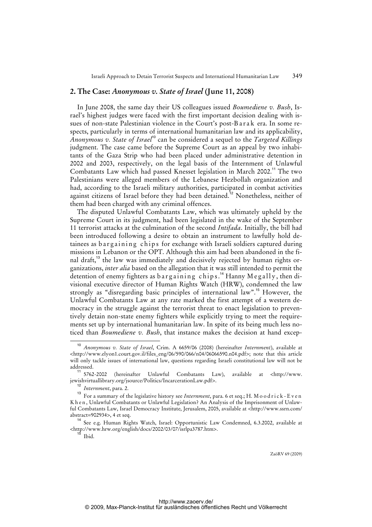#### **2. The Case:** *Anonymous v. State of Israel* **(June 11, 2008)**

In June 2008, the same day their US colleagues issued *Boumediene v. Bush*, Israel's highest judges were faced with the first important decision dealing with issues of non-state Palestinian violence in the Court's post-Barak era. In some respects, particularly in terms of international humanitarian law and its applicability, *Anonymous v. State of Israel*<sup>10</sup> can be considered a sequel to the *Targeted Killings*  judgment. The case came before the Supreme Court as an appeal by two inhabitants of the Gaza Strip who had been placed under administrative detention in 2002 and 2003, respectively, on the legal basis of the Internment of Unlawful Combatants Law which had passed Knesset legislation in March 2002.<sup>11</sup> The two Palestinians were alleged members of the Lebanese Hezbollah organization and had, according to the Israeli military authorities, participated in combat activities against citizens of Israel before they had been detained.<sup>12</sup> Nonetheless, neither of them had been charged with any criminal offences.

The disputed Unlawful Combatants Law, which was ultimately upheld by the Supreme Court in its judgment, had been legislated in the wake of the September 11 terrorist attacks at the culmination of the second *Intifada*. Initially, the bill had been introduced following a desire to obtain an instrument to lawfully hold detainees as bargaining chips for exchange with Israeli soldiers captured during missions in Lebanon or the OPT. Although this aim had been abandoned in the final draft,<sup>13</sup> the law was immediately and decisively rejected by human rights organizations, *inter alia* based on the allegation that it was still intended to permit the detention of enemy fighters as bargaining chips.<sup>14</sup> Hanny Megally, then divisional executive director of Human Rights Watch (HRW), condemned the law strongly as "disregarding basic principles of international law".<sup>15</sup> However, the Unlawful Combatants Law at any rate marked the first attempt of a western democracy in the struggle against the terrorist threat to enact legislation to preventively detain non-state enemy fighters while explicitly trying to meet the requirements set up by international humanitarian law. In spite of its being much less noticed than *Boumediene v. Bush*, that instance makes the decision at hand excep-

<sup>15</sup> Ibid.

 $\overline{10}$  *Anonymous v. State of Israel*, Crim. A 6659/06 (2008) (hereinafter *Internment*), available at [<http://www.elyon1.court.gov.il/files\\_eng/06/590/066/n04/06066590.n04.pdf](http://www.elyon1.court.gov.il/files_eng/06/590/066/n04/06066590.n04.pdf)>; note that this article will only tackle issues of international law, questions regarding Israeli constitutional law will not be addressed.

<sup>11</sup> 5762-2002 (hereinafter Unlawful Combatants Law), available at <[http://www.](http://www) jewishvirtuallibrary.org/jsource/Politics/IncarcerationLaw.pdf>.

<sup>12</sup> *Internment*, para. 2.

<sup>13</sup> For a summary of the legislative history see *Internment*, para. 6 et seq.; H. M o o d r i c k - E v e n K h e n, Unlawful Combatants or Unlawful Legislation? An Analysis of the Imprisonment of Unlawful Combatants Law, Israel Democracy Institute, Jerusalem, 2005, available at <<http://www.ssrn.com/> abstract=902934>, 4 et seq.

<sup>14</sup> See e.g. Human Rights Watch, Israel: Opportunistic Law Condemned, 6.3.2002, available at [<http://www.hrw.org/english/docs/2002/03/07/isrlpa3787.htm](http://www.hrw.org/english/docs/2002/03/07/isrlpa3787.htm)>.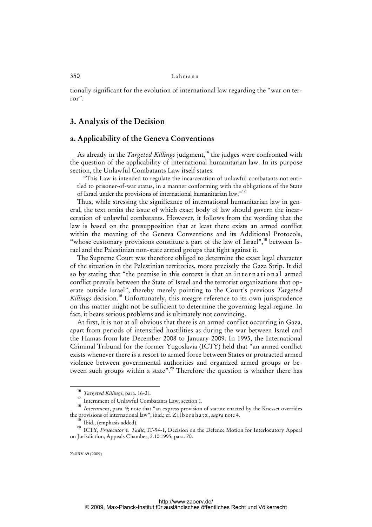tionally significant for the evolution of international law regarding the "war on terror".

# **3. Analysis of the Decision**

## **a. Applicability of the Geneva Conventions**

As already in the *Targeted Killings* judgment,<sup>16</sup> the judges were confronted with the question of the applicability of international humanitarian law. In its purpose section, the Unlawful Combatants Law itself states:

"This Law is intended to regulate the incarceration of unlawful combatants not entitled to prisoner-of-war status, in a manner conforming with the obligations of the State of Israel under the provisions of international humanitarian law."<sup>17</sup>

Thus, while stressing the significance of international humanitarian law in general, the text omits the issue of which exact body of law should govern the incarceration of unlawful combatants. However, it follows from the wording that the law is based on the presupposition that at least there exists an armed conflict within the meaning of the Geneva Conventions and its Additional Protocols, "whose customary provisions constitute a part of the law of Israel",<sup>18</sup> between Israel and the Palestinian non-state armed groups that fight against it.

The Supreme Court was therefore obliged to determine the exact legal character of the situation in the Palestinian territories, more precisely the Gaza Strip. It did so by stating that "the premise in this context is that an international armed conflict prevails between the State of Israel and the terrorist organizations that operate outside Israel", thereby merely pointing to the Court's previous *Targeted Killings* decision.<sup>19</sup> Unfortunately, this meagre reference to its own jurisprudence on this matter might not be sufficient to determine the governing legal regime. In fact, it bears serious problems and is ultimately not convincing.

At first, it is not at all obvious that there is an armed conflict occurring in Gaza, apart from periods of intensified hostilities as during the war between Israel and the Hamas from late December 2008 to January 2009. In 1995, the International Criminal Tribunal for the former Yugoslavia (ICTY) held that "an armed conflict exists whenever there is a resort to armed force between States or protracted armed violence between governmental authorities and organized armed groups or between such groups within a state".<sup>20</sup> Therefore the question is whether there has

<sup>16</sup> *Targeted Killings*, para. 16-21.

<sup>17</sup> Internment of Unlawful Combatants Law, section 1.

<sup>&</sup>lt;sup>18</sup> Internment, para. 9; note that "an express provision of statute enacted by the Knesset overrides the provisions of international law", ibid.; cf. Z i l b e r s h a t z , *supra* note 4.

Ibid., (emphasis added).

<sup>20</sup> ICTY, *Prosecutor v. Tadic*, IT-94-1, Decision on the Defence Motion for Interlocutory Appeal on Jurisdiction, Appeals Chamber, 2.10.1995, para. 70.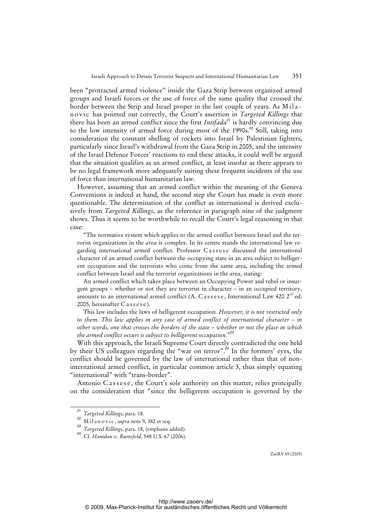been "protracted armed violence" inside the Gaza Strip between organized armed groups and Israeli forces or the use of force of the same quality that crossed the border between the Strip and Israel proper in the last couple of years. As Milanovic has pointed out correctly, the Court's assertion in *Targeted Killings* that there has been an armed conflict since the first *Intifada*<sup>21</sup> is hardly convincing due to the low intensity of armed force during most of the  $1990s$ <sup>22</sup> Still, taking into consideration the constant shelling of rockets into Israel by Palestinian fighters, particularly since Israel's withdrawal from the Gaza Strip in 2005, and the intensity of the Israel Defence Forces' reactions to end these attacks, it could well be argued that the situation qualifies as an armed conflict, at least insofar as there appears to be no legal framework more adequately suiting these frequent incidents of the use of force than international humanitarian law.

However, assuming that an armed conflict within the meaning of the Geneva Conventions is indeed at hand, the second step the Court has made is even more questionable. The determination of the conflict as international is derived exclusively from *Targeted Killings*, as the reference in paragraph nine of the judgment shows. Thus it seems to be worthwhile to recall the Court's legal reasoning in that case:

"The normative system which applies to the armed conflict between Israel and the terrorist organizations in the *area* is complex. In its centre stands the international law regarding international armed conflict. Professor Cassese discussed the international character of an armed conflict between the occupying state in an area subject to belligerent occupation and the terrorists who come from the same area, including the armed conflict between Israel and the terrorist organizations in the *area*, stating:

An armed conflict which takes place between an Occupying Power and rebel or insurgent groups – whether or not they are terrorist in character – in an occupied territory, amounts to an international armed conflict (A. Cassese, International Law 420  $2<sup>nd</sup>$  ed. 2005, hereinafter Cassese).

This law includes the laws of belligerent occupation. *However, it is not restricted only to them. This law applies in any case of armed conflict of international character – in other words, one that crosses the borders of the state – whether or not the place in which the armed conflict occurs is subject to belligerent occupation*."<sup>23</sup>

With this approach, the Israeli Supreme Court directly contradicted the one held by their US colleagues regarding the "war on terror".<sup>24</sup> In the formers' eyes, the conflict should be governed by the law of international rather than that of noninternational armed conflict, in particular common article 3, thus simply equating "international" with "trans-border".

Antonio Cassese, the Court's sole authority on this matter, relies principally on the consideration that "since the belligerent occupation is governed by the

<sup>21</sup> *Targeted Killings*, para. 18.

<sup>22</sup> Milanovic, *supra* note 9, 382 et seq.

<sup>23</sup> *Targeted Killings*, para. 18, (emphasis added).

<sup>24</sup> Cf. *Hamdan v. Rumsfeld,* 548 U.S. 67 (2006).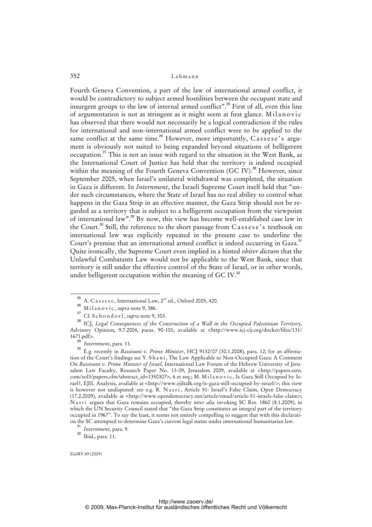Fourth Geneva Convention, a part of the law of international armed conflict, it would be contradictory to subject armed hostilities between the occupant state and insurgent groups to the law of internal armed conflict".<sup>25</sup> First of all, even this line of argumentation is not as stringent as it might seem at first glance. Milanovic has observed that there would not necessarily be a logical contradiction if the rules for international and non-international armed conflict were to be applied to the same conflict at the same time.<sup>26</sup> However, more importantly,  $\widehat{C}$  as sese's argument is obviously not suited to being expanded beyond situations of belligerent occupation.<sup>27</sup> This is not an issue with regard to the situation in the West Bank, as the International Court of Justice has held that the territory is indeed occupied within the meaning of the Fourth Geneva Convention (GC IV).<sup>28</sup> However, since September 2005, when Israel's unilateral withdrawal was completed, the situation in Gaza is different. In *Internment*, the Israeli Supreme Court itself held that "under such circumstances, where the State of Israel has no real ability to control what happens in the Gaza Strip in an effective manner, the Gaza Strip should not be regarded as a territory that is subject to a belligerent occupation from the viewpoint of international law".<sup>29</sup> By now, this view has become well-established case law in the Court.<sup>30</sup> Still, the reference to the short passage from Cassese's textbook on international law was explicitly repeated in the present case to underline the Court's premise that an international armed conflict is indeed occurring in Gaza.<sup>31</sup> Quite ironically, the Supreme Court even implied in a hinted *obiter dictum* that the Unlawful Combatants Law would not be applicable to the West Bank, since that territory is still under the effective control of the State of Israel, or in other words, under belligerent occupation within the meaning of GC IV.<sup>32</sup>

A. C a s s e s e, International Law, 2<sup>nd</sup> ed., Oxford 2005, 420.

<sup>26</sup> Milanovic, *supra* note 9, 386.

<sup>27</sup> Cf. S c h o n d o r f , *supra* note 9, 303.

<sup>28</sup> ICJ, *Legal Consequences of the Construction of a Wall in the Occupied Palestinian Territory*, Advisory Opinion, 9.7.2004, paras. 90-101; available at <<http://www.icj-cij.org/docket/files/131/> 1671.pdf>.  $^{11}_{29}$ 

*Internment*, para. 11.

<sup>30</sup> E.g. recently in *Bassiouni v. Prime Minister*, HCJ 9132/07 (30.1.2008), para. 12; for an affirmation of the Court's findings see Y. S h a n i , The Law Applicable to Non-Occupied Gaza: A Comment On *Bassiouni v. Prime Minister of Israel*, International Law Forum of the Hebrew University of Jerusalem Law Faculty, Research Paper No. 13-09, Jerusalem 2009, available at <[http://papers.ssrn.](http://papers.ssrn) com/sol3/papers.cfm?abstract\_id=1350307>, 6 et seq.; M. M i l a n o v i c , Is Gaza Still Occupied by Israel?, EJIL Analysis, available at [<http://www.ejiltalk.org/is-gaza-still-occupied-by-israel/](http://www.ejiltalk.org/is-gaza-still-occupied-by-israel/)>; this view is however not undisputed: see e.g. R. Nasri, Article 51: Israel's False Claim, Open Democracy (17.2.2009), available at [<http://www.opendemocracy.net/article/email/article-51-israels-false-claim](http://www.opendemocracy.net/article/email/article-51-israels-false-claim)>; N a s r i argues that Gaza remains occupied, thereby *inter alia* invoking SC Res. 1860 (8.1.2009), in which the UN Security Council stated that "the Gaza Strip constitutes an integral part of the territory occupied in 1967". To say the least, it seems not entirely compelling to suggest that with this declaration the SC attempted to determine Gaza's current legal status under international humanitarian law.

<sup>31</sup> *Internment*, para. 9.

<sup>32</sup> Ibid., para. 11.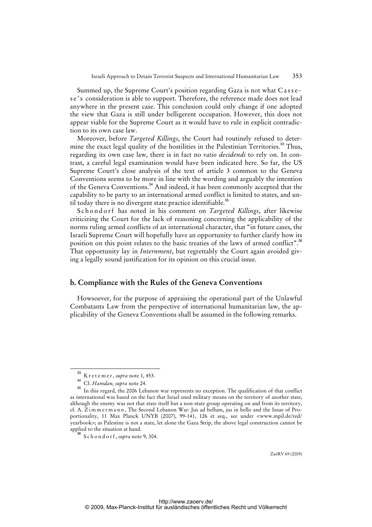Summed up, the Supreme Court's position regarding Gaza is not what Cassese's consideration is able to support. Therefore, the reference made does not lead anywhere in the present case. This conclusion could only change if one adopted the view that Gaza is still under belligerent occupation. However, this does not appear viable for the Supreme Court as it would have to rule in explicit contradiction to its own case law.

Moreover, before *Targeted Killings*, the Court had routinely refused to determine the exact legal quality of the hostilities in the Palestinian Territories.<sup>33</sup> Thus, regarding its own case law, there is in fact no *ratio decidendi* to rely on. In contrast, a careful legal examination would have been indicated here. So far, the US Supreme Court's close analysis of the text of article 3 common to the Geneva Conventions seems to be more in line with the wording and arguably the intention of the Geneva Conventions.<sup>34</sup> And indeed, it has been commonly accepted that the capability to be party to an international armed conflict is limited to states, and until today there is no divergent state practice identifiable. $35$ 

Schondorf has noted in his comment on *Targeted Killings*, after likewise criticizing the Court for the lack of reasoning concerning the applicability of the norms ruling armed conflicts of an international character, that "in future cases, the Israeli Supreme Court will hopefully have an opportunity to further clarify how its position on this point relates to the basic treaties of the laws of armed conflict".<sup>36</sup> That opportunity lay in *Internment*, but regrettably the Court again avoided giving a legally sound justification for its opinion on this crucial issue.

#### **b. Compliance with the Rules of the Geneva Conventions**

Howsoever, for the purpose of appraising the operational part of the Unlawful Combatants Law from the perspective of international humanitarian law, the applicability of the Geneva Conventions shall be assumed in the following remarks.

<sup>33</sup> K r e t z m e r , *supra* note 1, 453.

<sup>34</sup> Cf. *Hamdan, supra* note 24.

<sup>35</sup> In this regard, the 2006 Lebanon war represents no exception. The qualification of that conflict as international was based on the fact that Israel used military means on the territory of another state, although the enemy was not that state itself but a non-state group operating on and from its territory, cf. A. Z i m m e r m a n n , The Second Lebanon War: Jus ad bellum, jus in bello and the Issue of Proportionality, 11 Max Planck UNYB (2007), 99-141, 126 et seq., see under <www.mpil.de/red/ yearbook>; as Palestine is not a state, let alone the Gaza Strip, the above legal construction cannot be applied to the situation at hand.

<sup>36</sup> S c h o n d o r f , *supra* note 9, 304.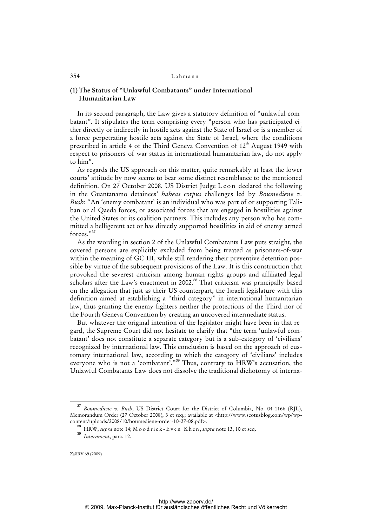#### **(1) The Status of "Unlawful Combatants" under International Humanitarian Law**

In its second paragraph, the Law gives a statutory definition of "unlawful combatant". It stipulates the term comprising every "person who has participated either directly or indirectly in hostile acts against the State of Israel or is a member of a force perpetrating hostile acts against the State of Israel, where the conditions prescribed in article 4 of the Third Geneva Convention of  $12<sup>th</sup>$  August 1949 with respect to prisoners-of-war status in international humanitarian law, do not apply to him".

As regards the US approach on this matter, quite remarkably at least the lower courts' attitude by now seems to bear some distinct resemblance to the mentioned definition. On 27 October 2008, US District Judge Leon declared the following in the Guantanamo detainees' *habeas corpus* challenges led by *Boumediene v. Bush*: "An 'enemy combatant' is an individual who was part of or supporting Taliban or al Qaeda forces, or associated forces that are engaged in hostilities against the United States or its coalition partners. This includes any person who has committed a belligerent act or has directly supported hostilities in aid of enemy armed forces."<sup>37</sup>

As the wording in section 2 of the Unlawful Combatants Law puts straight, the covered persons are explicitly excluded from being treated as prisoners-of-war within the meaning of GC III, while still rendering their preventive detention possible by virtue of the subsequent provisions of the Law. It is this construction that provoked the severest criticism among human rights groups and affiliated legal scholars after the Law's enactment in 2002.<sup>38</sup> That criticism was principally based on the allegation that just as their US counterpart, the Israeli legislature with this definition aimed at establishing a "third category" in international humanitarian law, thus granting the enemy fighters neither the protections of the Third nor of the Fourth Geneva Convention by creating an uncovered intermediate status.

But whatever the original intention of the legislator might have been in that regard, the Supreme Court did not hesitate to clarify that "the term 'unlawful combatant' does not constitute a separate category but is a sub-category of 'civilians' recognized by international law. This conclusion is based on the approach of customary international law, according to which the category of 'civilians' includes everyone who is not a 'combatant'."<sup>39</sup> Thus, contrary to HRW's accusation, the Unlawful Combatants Law does not dissolve the traditional dichotomy of interna-

<sup>37</sup> *Boumediene v. Bush*, US District Court for the District of Columbia, No. 04-1166 (RJL), [Memorandum Order \(27 October 2008\), 3 et seq.; available at <http://www.scotusblog.com/wp/wp](http://www.scotusblog.com/wp/wp-content/)content/uploads/2008/10/boumediene-order-10-27-08.pdf>.

<sup>&</sup>lt;sup>38</sup> HRW, *supra* note 14; M o o d r i c k - E v e n K h e n, *supra* note 13, 10 et seq.

<sup>39</sup> *Internment*, para. 12.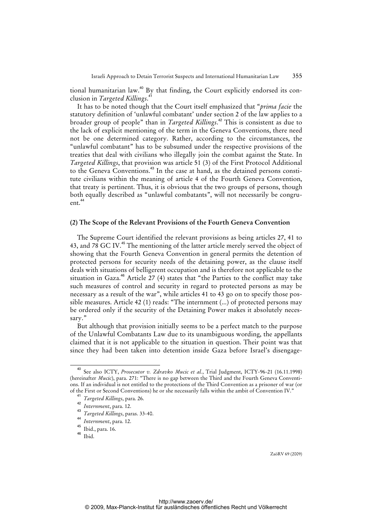tional humanitarian law.<sup>40</sup> By that finding, the Court explicitly endorsed its conclusion in *Targeted Killings*. 41

It has to be noted though that the Court itself emphasized that "*prima facie* the statutory definition of 'unlawful combatant' under section 2 of the law applies to a broader group of people" than in *Targeted Killings*. <sup>42</sup> This is consistent as due to the lack of explicit mentioning of the term in the Geneva Conventions, there need not be one determined category. Rather, according to the circumstances, the "unlawful combatant" has to be subsumed under the respective provisions of the treaties that deal with civilians who illegally join the combat against the State. In *Targeted Killings*, that provision was article 51 (3) of the First Protocol Additional to the Geneva Conventions.<sup>43</sup> In the case at hand, as the detained persons constitute civilians within the meaning of article 4 of the Fourth Geneva Convention, that treaty is pertinent. Thus, it is obvious that the two groups of persons, though both equally described as "unlawful combatants", will not necessarily be congruent.<sup>44</sup>

#### **(2) The Scope of the Relevant Provisions of the Fourth Geneva Convention**

The Supreme Court identified the relevant provisions as being articles 27, 41 to 43, and 78 GC IV.<sup>45</sup> The mentioning of the latter article merely served the object of showing that the Fourth Geneva Convention in general permits the detention of protected persons for security needs of the detaining power, as the clause itself deals with situations of belligerent occupation and is therefore not applicable to the situation in Gaza.<sup>46</sup> Article  $27$  (4) states that "the Parties to the conflict may take such measures of control and security in regard to protected persons as may be necessary as a result of the war", while articles 41 to 43 go on to specify those possible measures. Article 42 (1) reads: "The internment (...) of protected persons may be ordered only if the security of the Detaining Power makes it absolutely necessary."

But although that provision initially seems to be a perfect match to the purpose of the Unlawful Combatants Law due to its unambiguous wording, the appellants claimed that it is not applicable to the situation in question. Their point was that since they had been taken into detention inside Gaza before Israel's disengage-

<sup>40</sup> See also ICTY, *Prosecutor v. Zdravko Mucic et al.*, Trial Judgment, ICTY-96-21 (16.11.1998) (hereinafter *Mucic*), para. 271: "There is no gap between the Third and the Fourth Geneva Conventions. If an individual is not entitled to the protections of the Third Convention as a prisoner of war (or of the First or Second Conventions) he or she necessarily falls within the ambit of Convention IV."

<sup>41</sup> *Targeted Killings*, para. 26.

<sup>42</sup> *Internment*, para. 12.

<sup>43</sup> *Targeted Killings*, paras. 33-40.

<sup>44</sup> *Internment*, para. 12.

<sup>45</sup> Ibid., para. 16.

<sup>46</sup> Ibid.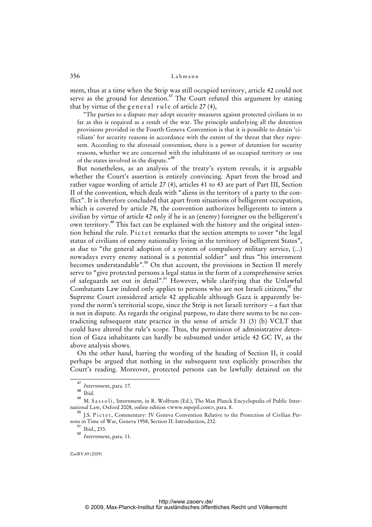ment, thus at a time when the Strip was still occupied territory, article 42 could not serve as the ground for detention.<sup>47</sup> The Court refuted this argument by stating that by virtue of the general rule of article  $27(4)$ ,

"The parties to a dispute may adopt security measures against protected civilians in so far as this is required as a result of the war. The principle underlying all the detention provisions provided in the Fourth Geneva Convention is that it is possible to detain 'civilians' for security reasons in accordance with the extent of the threat that they represent. According to the aforesaid convention, there is a power of detention for security reasons, whether we are concerned with the inhabitants of an occupied territory or one of the states involved in the dispute."<sup>48</sup>

But nonetheless, as an analysis of the treaty's system reveals, it is arguable whether the Court's assertion is entirely convincing. Apart from the broad and rather vague wording of article 27 (4), articles 41 to 43 are part of Part III, Section II of the convention, which deals with "aliens in the territory of a party to the conflict". It is therefore concluded that apart from situations of belligerent occupation, which is covered by article 78, the convention authorizes belligerents to intern a civilian by virtue of article 42 only if he is an (enemy) foreigner on the belligerent's own territory.<sup>49</sup> This fact can be explained with the history and the original intention behind the rule. Pictet remarks that the section attempts to cover "the legal status of civilians of enemy nationality living in the territory of belligerent States", as due to "the general adoption of a system of compulsory military service, (...) nowadays every enemy national is a potential soldier" and thus "his internment becomes understandable".<sup>50</sup> On that account, the provisions in Section II merely serve to "give protected persons a legal status in the form of a comprehensive series of safeguards set out in detail".<sup>51</sup> However, while clarifying that the Unlawful Combatants Law indeed only applies to persons who are not Israeli citizens, $52$  the Supreme Court considered article 42 applicable although Gaza is apparently beyond the norm's territorial scope, since the Strip is not Israeli territory – a fact that is not in dispute. As regards the original purpose, to date there seems to be no contradicting subsequent state practice in the sense of article 31 (3) (b) VCLT that could have altered the rule's scope. Thus, the permission of administrative detention of Gaza inhabitants can hardly be subsumed under article 42 GC IV, as the above analysis shows.

On the other hand, barring the wording of the heading of Section II, it could perhaps be argued that nothing in the subsequent text explicitly proscribes the Court's reading. Moreover, protected persons can be lawfully detained on the

<sup>51</sup> Ibid., 233.

<sup>47</sup> *Internment*, para. 17.

 $48$  Ibid.

<sup>&</sup>lt;sup>49</sup> M. S a s s o l i, Internment, in R. Wolfrum (Ed.), The Max Planck Encyclopedia of Public International Law, Oxford 2008, online edition <www.mpepil.com>, para. 8.

<sup>&</sup>lt;sup>50</sup> I.S. Pictet, Commentary: IV Geneva Convention Relative to the Protection of Civilian Persons in Time of War, Geneva 1958, Section II: Introduction, 232.

<sup>52</sup> *Internment*, para. 11.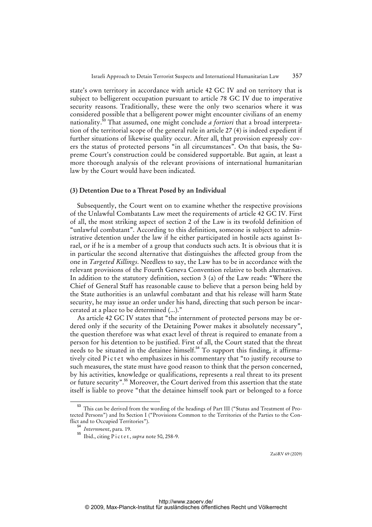state's own territory in accordance with article 42 GC IV and on territory that is subject to belligerent occupation pursuant to article 78 GC IV due to imperative security reasons. Traditionally, these were the only two scenarios where it was considered possible that a belligerent power might encounter civilians of an enemy nationality.<sup>53</sup> That assumed, one might conclude *a fortiori* that a broad interpretation of the territorial scope of the general rule in article 27 (4) is indeed expedient if further situations of likewise quality occur. After all, that provision expressly covers the status of protected persons "in all circumstances". On that basis, the Supreme Court's construction could be considered supportable. But again, at least a more thorough analysis of the relevant provisions of international humanitarian law by the Court would have been indicated.

#### **(3) Detention Due to a Threat Posed by an Individual**

Subsequently, the Court went on to examine whether the respective provisions of the Unlawful Combatants Law meet the requirements of article 42 GC IV. First of all, the most striking aspect of section 2 of the Law is its twofold definition of "unlawful combatant". According to this definition, someone is subject to administrative detention under the law if he either participated in hostile acts against Israel, or if he is a member of a group that conducts such acts. It is obvious that it is in particular the second alternative that distinguishes the affected group from the one in *Targeted Killings*. Needless to say, the Law has to be in accordance with the relevant provisions of the Fourth Geneva Convention relative to both alternatives. In addition to the statutory definition, section 3 (a) of the Law reads: "Where the Chief of General Staff has reasonable cause to believe that a person being held by the State authorities is an unlawful combatant and that his release will harm State security, he may issue an order under his hand, directing that such person be incarcerated at a place to be determined (...)."

As article 42 GC IV states that "the internment of protected persons may be ordered only if the security of the Detaining Power makes it absolutely necessary", the question therefore was what exact level of threat is required to emanate from a person for his detention to be justified. First of all, the Court stated that the threat needs to be situated in the detainee himself.<sup>54</sup> To support this finding, it affirmatively cited Pictet who emphasizes in his commentary that "to justify recourse to such measures, the state must have good reason to think that the person concerned, by his activities, knowledge or qualifications, represents a real threat to its present or future security".<sup>55</sup> Moreover, the Court derived from this assertion that the state itself is liable to prove "that the detainee himself took part or belonged to a force

<sup>&</sup>lt;sup>53</sup> This can be derived from the wording of the headings of Part III ("Status and Treatment of Protected Persons") and Its Section I ("Provisions Common to the Territories of the Parties to the Conflict and to Occupied Territories").

<sup>54</sup> *Internment*, para. 19.

<sup>55</sup> Ibid., citing P i c t e t , *supra* note 50, 258-9.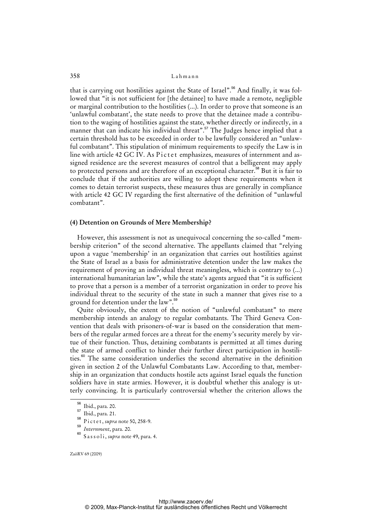that is carrying out hostilities against the State of Israel".<sup>56</sup> And finally, it was followed that "it is not sufficient for [the detainee] to have made a remote, negligible or marginal contribution to the hostilities (...). In order to prove that someone is an 'unlawful combatant', the state needs to prove that the detainee made a contribution to the waging of hostilities against the state, whether directly or indirectly, in a manner that can indicate his individual threat".<sup>57</sup> The Judges hence implied that a certain threshold has to be exceeded in order to be lawfully considered an "unlawful combatant". This stipulation of minimum requirements to specify the Law is in line with article 42 GC IV. As Pictet emphasizes, measures of internment and assigned residence are the severest measures of control that a belligerent may apply to protected persons and are therefore of an exceptional character.<sup>58</sup> But it is fair to conclude that if the authorities are willing to adopt these requirements when it comes to detain terrorist suspects, these measures thus are generally in compliance with article 42 GC IV regarding the first alternative of the definition of "unlawful combatant".

#### **(4) Detention on Grounds of Mere Membership?**

However, this assessment is not as unequivocal concerning the so-called "membership criterion" of the second alternative. The appellants claimed that "relying upon a vague 'membership' in an organization that carries out hostilities against the State of Israel as a basis for administrative detention under the law makes the requirement of proving an individual threat meaningless, which is contrary to (...) international humanitarian law", while the state's agents argued that "it is sufficient to prove that a person is a member of a terrorist organization in order to prove his individual threat to the security of the state in such a manner that gives rise to a ground for detention under the law".<sup>59</sup>

Quite obviously, the extent of the notion of "unlawful combatant" to mere membership intends an analogy to regular combatants. The Third Geneva Convention that deals with prisoners-of-war is based on the consideration that members of the regular armed forces are a threat for the enemy's security merely by virtue of their function. Thus, detaining combatants is permitted at all times during the state of armed conflict to hinder their further direct participation in hostilities.<sup>60</sup> The same consideration underlies the second alternative in the definition given in section 2 of the Unlawful Combatants Law. According to that, membership in an organization that conducts hostile acts against Israel equals the function soldiers have in state armies. However, it is doubtful whether this analogy is utterly convincing. It is particularly controversial whether the criterion allows the

<sup>56</sup> Ibid., para. 20.

<sup>&</sup>lt;sup>57</sup> Ibid., para. 21.

<sup>58</sup> Pictet, *supra* note 50, 258-9.

<sup>59</sup> *Internment*, para. 20.

<sup>60</sup> S a s s o l i , *supra* note 49, para. 4.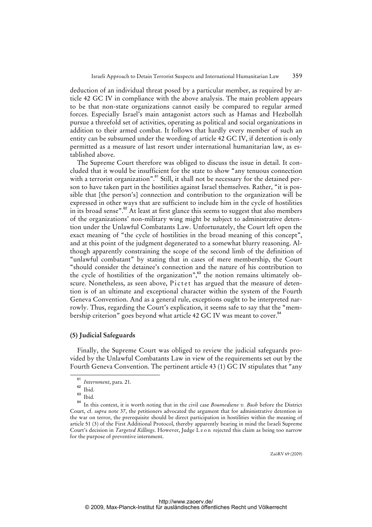deduction of an individual threat posed by a particular member, as required by article 42 GC IV in compliance with the above analysis. The main problem appears to be that non-state organizations cannot easily be compared to regular armed forces. Especially Israel's main antagonist actors such as Hamas and Hezbollah pursue a threefold set of activities, operating as political and social organizations in addition to their armed combat. It follows that hardly every member of such an entity can be subsumed under the wording of article 42 GC IV, if detention is only permitted as a measure of last resort under international humanitarian law, as established above.

The Supreme Court therefore was obliged to discuss the issue in detail. It concluded that it would be insufficient for the state to show "any tenuous connection with a terrorist organization".<sup>61</sup> Still, it shall not be necessary for the detained person to have taken part in the hostilities against Israel themselves. Rather, "it is possible that [the person's] connection and contribution to the organization will be expressed in other ways that are sufficient to include him in the cycle of hostilities in its broad sense".<sup>62</sup> At least at first glance this seems to suggest that also members of the organizations' non-military wing might be subject to administrative detention under the Unlawful Combatants Law. Unfortunately, the Court left open the exact meaning of "the cycle of hostilities in the broad meaning of this concept", and at this point of the judgment degenerated to a somewhat blurry reasoning. Although apparently constraining the scope of the second limb of the definition of "unlawful combatant" by stating that in cases of mere membership, the Court "should consider the detainee's connection and the nature of his contribution to the cycle of hostilities of the organization", $63$  the notion remains ultimately obscure. Nonetheless, as seen above, Pictet has argued that the measure of detention is of an ultimate and exceptional character within the system of the Fourth Geneva Convention. And as a general rule, exceptions ought to be interpreted narrowly. Thus, regarding the Court's explication, it seems safe to say that the "membership criterion" goes beyond what article 42 GC IV was meant to cover.<sup>64</sup>

#### **(5) Judicial Safeguards**

Finally, the Supreme Court was obliged to review the judicial safeguards provided by the Unlawful Combatants Law in view of the requirements set out by the Fourth Geneva Convention. The pertinent article 43 (1) GC IV stipulates that "any

 $\overline{61}$ *Internment*, para. 21.

 $62$  Ibid.

 $\begin{array}{c} 63 \\ 64 \end{array}$  Ibid.

<sup>64</sup> In this context, it is worth noting that in the civil case *Boumediene v. Bush* before the District Court, cf. *supra* note 37, the petitioners advocated the argument that for administrative detention in the war on terror, the prerequisite should be direct participation in hostilities within the meaning of article 51 (3) of the First Additional Protocol, thereby apparently bearing in mind the Israeli Supreme Court's decision in *Targeted Killings*. However, Judge L e o n rejected this claim as being too narrow for the purpose of preventive internment.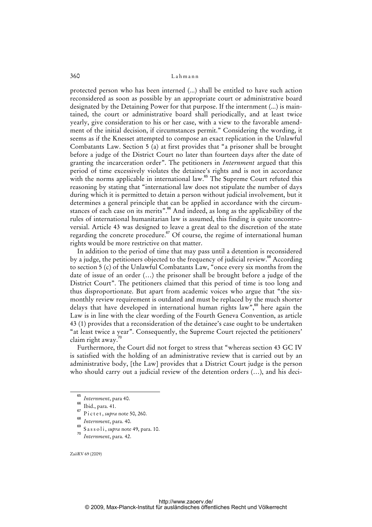protected person who has been interned (...) shall be entitled to have such action reconsidered as soon as possible by an appropriate court or administrative board designated by the Detaining Power for that purpose. If the internment (...) is maintained, the court or administrative board shall periodically, and at least twice yearly, give consideration to his or her case, with a view to the favorable amendment of the initial decision, if circumstances permit." Considering the wording, it seems as if the Knesset attempted to compose an exact replication in the Unlawful Combatants Law. Section 5 (a) at first provides that "a prisoner shall be brought before a judge of the District Court no later than fourteen days after the date of granting the incarceration order". The petitioners in *Internment* argued that this period of time excessively violates the detainee's rights and is not in accordance with the norms applicable in international law.<sup>65</sup> The Supreme Court refuted this reasoning by stating that "international law does not stipulate the number of days during which it is permitted to detain a person without judicial involvement, but it determines a general principle that can be applied in accordance with the circumstances of each case on its merits".<sup>66</sup> And indeed, as long as the applicability of the rules of international humanitarian law is assumed, this finding is quite uncontroversial. Article 43 was designed to leave a great deal to the discretion of the state regarding the concrete procedure.<sup>67</sup> Of course, the regime of international human rights would be more restrictive on that matter.

In addition to the period of time that may pass until a detention is reconsidered by a judge, the petitioners objected to the frequency of judicial review.<sup>68</sup> According to section 5 (c) of the Unlawful Combatants Law, "once every six months from the date of issue of an order (…) the prisoner shall be brought before a judge of the District Court". The petitioners claimed that this period of time is too long and thus disproportionate. But apart from academic voices who argue that "the sixmonthly review requirement is outdated and must be replaced by the much shorter delays that have developed in international human rights law", $\frac{69}{5}$  here again the Law is in line with the clear wording of the Fourth Geneva Convention, as article 43 (1) provides that a reconsideration of the detainee's case ought to be undertaken "at least twice a year". Consequently, the Supreme Court rejected the petitioners' claim right away.<sup>70</sup>

Furthermore, the Court did not forget to stress that "whereas section 43 GC IV is satisfied with the holding of an administrative review that is carried out by an administrative body, [the Law] provides that a District Court judge is the person who should carry out a judicial review of the detention orders (…), and his deci-

<sup>65</sup> *Internment*, para 40.

<sup>&</sup>lt;sup>66</sup> Ibid., para. 41.

<sup>67</sup> Pictet, *supra* note 50, 260. 68

*Internment*, para. 40.

S a s s o l i, *supra* note 49, para. 10.

<sup>70</sup> *Internment*, para. 42.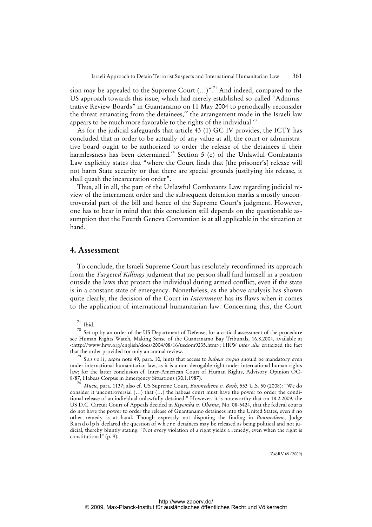sion may be appealed to the Supreme Court  $(...)$ ".<sup>71</sup> And indeed, compared to the US approach towards this issue, which had merely established so-called "Administrative Review Boards" in Guantanamo on 11 May 2004 to periodically reconsider the threat emanating from the detainees,<sup>72</sup> the arrangement made in the Israeli law appears to be much more favorable to the rights of the individual.<sup>73</sup>

As for the judicial safeguards that article 43 (1) GC IV provides, the ICTY has concluded that in order to be actually of any value at all, the court or administrative board ought to be authorized to order the release of the detainees if their harmlessness has been determined.<sup>74</sup> Section 5 (c) of the Unlawful Combatants Law explicitly states that "where the Court finds that [the prisoner's] release will not harm State security or that there are special grounds justifying his release, it shall quash the incarceration order".

Thus, all in all, the part of the Unlawful Combatants Law regarding judicial review of the internment order and the subsequent detention marks a mostly uncontroversial part of the bill and hence of the Supreme Court's judgment. However, one has to bear in mind that this conclusion still depends on the questionable assumption that the Fourth Geneva Convention is at all applicable in the situation at hand.

## **4. Assessment**

To conclude, the Israeli Supreme Court has resolutely reconfirmed its approach from the *Targeted Killings* judgment that no person shall find himself in a position outside the laws that protect the individual during armed conflict, even if the state is in a constant state of emergency. Nonetheless, as the above analysis has shown quite clearly, the decision of the Court in *Internment* has its flaws when it comes to the application of international humanitarian law. Concerning this, the Court

<sup>71</sup> Ibid.

<sup>&</sup>lt;sup>72</sup> Set up by an order of the US Department of Defense; for a critical assessment of the procedure see Human Rights Watch, Making Sense of the Guantanamo Bay Tribunals, 16.8.2004, available at [<http://www.hrw.org/english/docs/2004/08/16/usdom9235.htm](http://www.hrw.org/english/docs/2004/08/16/usdom9235.htm)>; HRW *inter alia* criticized the fact that the order provided for only an annual review.

<sup>&</sup>lt;sup>73</sup> Sassoli, *supra* note 49, para. 10, hints that access to *habeas corpus* should be mandatory even under international humanitarian law, as it is a non-derogable right under international human rights law; for the latter conclusion cf. Inter-American Court of Human Rights, Advisory Opinion OC-8/87, Habeas Corpus in Emergency Situations (30.1.1987).

<sup>74</sup> *Mucic*, para. 1137; also cf. US Supreme Court, *Boumediene v. Bush*, 553 U.S. 50 (2008): "We do consider it uncontroversial (…) that (…) the habeas court must have the power to order the conditional release of an individual unlawfully detained." However, it is noteworthy that on 18.2.2009, the US D.C. Circuit Court of Appeals decided in *Kiyemba v. Obama*, No. 08-5424, that the federal courts do not have the power to order the release of Guantanamo detainees into the United States, even if no other remedy is at hand. Though expressly not disputing the finding in *Boumediene*, Judge R a n d o l p h declared the question of w h e r e detainees may be released as being political and not judicial, thereby bluntly stating: "Not every violation of a right yields a remedy, even when the right is constitutional" (p. 9).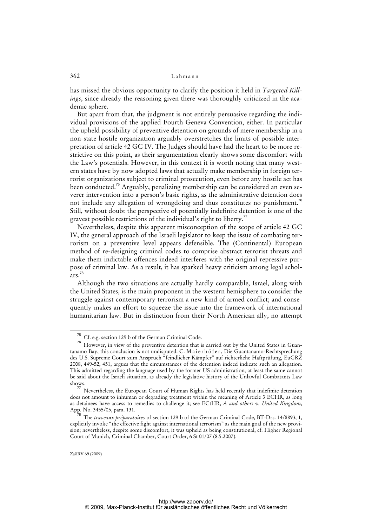has missed the obvious opportunity to clarify the position it held in *Targeted Killings*, since already the reasoning given there was thoroughly criticized in the academic sphere.

But apart from that, the judgment is not entirely persuasive regarding the individual provisions of the applied Fourth Geneva Convention, either. In particular the upheld possibility of preventive detention on grounds of mere membership in a non-state hostile organization arguably overstretches the limits of possible interpretation of article 42 GC IV. The Judges should have had the heart to be more restrictive on this point, as their argumentation clearly shows some discomfort with the Law's potentials. However, in this context it is worth noting that many western states have by now adopted laws that actually make membership in foreign terrorist organizations subject to criminal prosecution, even before any hostile act has been conducted.<sup>75</sup> Arguably, penalizing membership can be considered an even severer intervention into a person's basic rights, as the administrative detention does not include any allegation of wrongdoing and thus constitutes no punishment.<sup>76</sup> Still, without doubt the perspective of potentially indefinite detention is one of the gravest possible restrictions of the individual's right to liberty.<sup>77</sup>

Nevertheless, despite this apparent misconception of the scope of article 42 GC IV, the general approach of the Israeli legislator to keep the issue of combating terrorism on a preventive level appears defensible. The (Continental) European method of re-designing criminal codes to comprise abstract terrorist threats and make them indictable offences indeed interferes with the original repressive purpose of criminal law. As a result, it has sparked heavy criticism among legal schol $ars.<sup>78</sup>$ 

Although the two situations are actually hardly comparable, Israel, along with the United States, is the main proponent in the western hemisphere to consider the struggle against contemporary terrorism a new kind of armed conflict; and consequently makes an effort to squeeze the issue into the framework of international humanitarian law. But in distinction from their North American ally, no attempt

<sup>75</sup> Cf. e.g. section 129 b of the German Criminal Code.

<sup>76</sup> However, in view of the preventive detention that is carried out by the United States in Guantanamo Bay, this conclusion is not undisputed. C. Maierhöfer, Die Guantanamo-Rechtsprechung des U.S. Supreme Court zum Anspruch "feindlicher Kämpfer" auf richterliche Haftprüfung, EuGRZ 2008, 449-52, 451, argues that the circumstances of the detention indeed indicate such an allegation. This admitted regarding the language used by the former US administration, at least the same cannot be said about the Israeli situation, as already the legislative history of the Unlawful Combatants Law shows.

ws.<br><sup>77</sup> Nevertheless, the European Court of Human Rights has held recently that indefinite detention does not amount to inhuman or degrading treatment within the meaning of Article 3 ECHR, as long as detainees have access to remedies to challenge it; see ECtHR, *A and others v. United Kingdom*, App. No. 3455/05, para. 131.

<sup>&</sup>lt;sup>8</sup> The *traveaux préparatoires* of section 129 b of the German Criminal Code, BT-Drs. 14/8893, 1, explicitly invoke "the effective fight against international terrorism" as the main goal of the new provision; nevertheless, despite some discomfort, it was upheld as being constitutional, cf. Higher Regional Court of Munich, Criminal Chamber, Court Order, 6 St 01/07 (8.5.2007).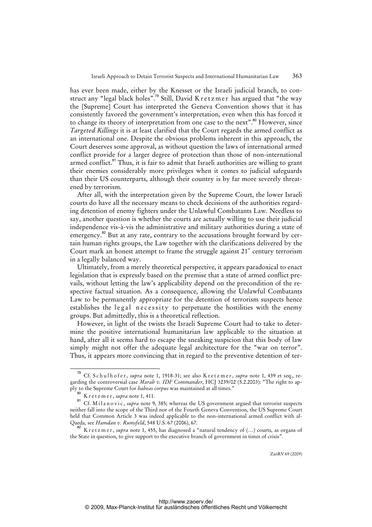has ever been made, either by the Knesset or the Israeli judicial branch, to construct any "legal black holes".<sup>79</sup> Still, David K r e t z m e r has argued that "the way the [Supreme] Court has interpreted the Geneva Convention shows that it has consistently favored the government's interpretation, even when this has forced it to change its theory of interpretation from one case to the next".<sup>80</sup> However, since *Targeted Killings* it is at least clarified that the Court regards the armed conflict as an international one. Despite the obvious problems inherent in this approach, the Court deserves some approval, as without question the laws of international armed conflict provide for a larger degree of protection than those of non-international armed conflict.<sup>81</sup> Thus, it is fair to admit that Israeli authorities are willing to grant their enemies considerably more privileges when it comes to judicial safeguards than their US counterparts, although their country is by far more severely threatened by terrorism.

After all, with the interpretation given by the Supreme Court, the lower Israeli courts do have all the necessary means to check decisions of the authorities regarding detention of enemy fighters under the Unlawful Combatants Law. Needless to say, another question is whether the courts are actually willing to use their judicial independence vis-à-vis the administrative and military authorities during a state of emergency.<sup>82</sup> But at any rate, contrary to the accusations brought forward by certain human rights groups, the Law together with the clarifications delivered by the Court mark an honest attempt to frame the struggle against  $21<sup>st</sup>$  century terrorism in a legally balanced way.

Ultimately, from a merely theoretical perspective, it appears paradoxical to enact legislation that is expressly based on the premise that a state of armed conflict prevails, without letting the law's applicability depend on the precondition of the respective factual situation. As a consequence, allowing the Unlawful Combatants Law to be permanently appropriate for the detention of terrorism suspects hence establishes the legal necessity to perpetuate the hostilities with the enemy groups. But admittedly, this is a theoretical reflection.

However, in light of the twists the Israeli Supreme Court had to take to determine the positive international humanitarian law applicable to the situation at hand, after all it seems hard to escape the sneaking suspicion that this body of law simply might not offer the adequate legal architecture for the "war on terror". Thus, it appears more convincing that in regard to the preventive detention of ter-

<sup>&</sup>lt;sup>79</sup> Cf. S c h u l h o f e r , *supra* note 1, 1918-31; see also K r e t z m e r , *supra* note 1, 439 et seq., regarding the controversial case *Marab v. IDF Commander*, HCJ 3239/02 (5.2.2003): "The right to apply to the Supreme Court for *habeas corpus* was maintained at all times."

<sup>80</sup> K r e t z m e r, *supra* note 1, 411.

<sup>81</sup> Cf. Milanovic, *supra* note 9, 385; whereas the US government argued that terrorist suspects neither fall into the scope of the Third nor of the Fourth Geneva Convention, the US Supreme Court held that Common Article 3 was indeed applicable to the non-international armed conflict with al-Qaeda, see *Hamdan v. Rumsfeld*, 548 U.S. 67 (2006), 67.

<sup>&</sup>lt;sup>82</sup> K r e t z m e r, *supra* note 1, 455, has diagnosed a "natural tendency of (...) courts, as organs of the State in question, to give support to the executive branch of government in times of crisis".